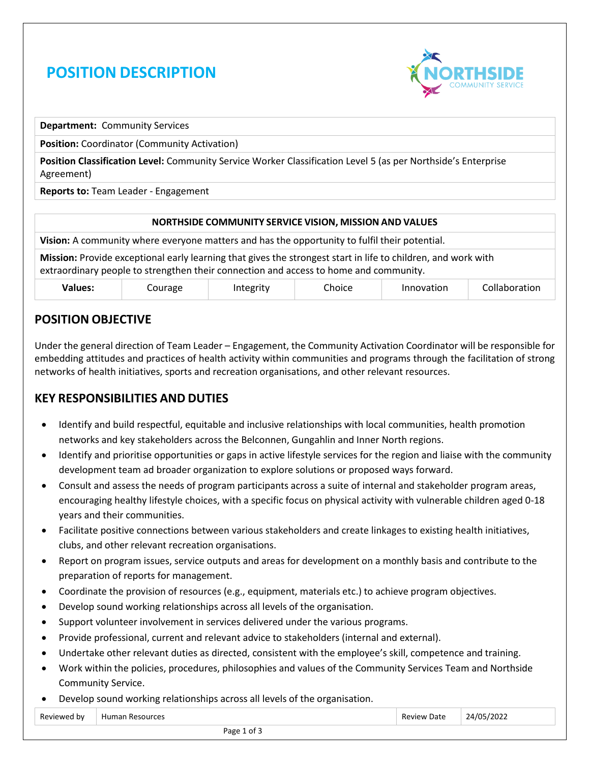# **POSITION DESCRIPTION**



**Department:** Community Services

**Position:** Coordinator (Community Activation)

**Position Classification Level:** Community Service Worker Classification Level 5 (as per Northside's Enterprise Agreement)

**Reports to:** Team Leader - Engagement

# **NORTHSIDE COMMUNITY SERVICE VISION, MISSION AND VALUES Vision:** A community where everyone matters and has the opportunity to fulfil their potential. **Mission:** Provide exceptional early learning that gives the strongest start in life to children, and work with extraordinary people to strengthen their connection and access to home and community. **Values:** Courage Integrity Choice Innovation Collaboration

# **POSITION OBJECTIVE**

Under the general direction of Team Leader – Engagement, the Community Activation Coordinator will be responsible for embedding attitudes and practices of health activity within communities and programs through the facilitation of strong networks of health initiatives, sports and recreation organisations, and other relevant resources.

# **KEY RESPONSIBILITIES AND DUTIES**

- Identify and build respectful, equitable and inclusive relationships with local communities, health promotion networks and key stakeholders across the Belconnen, Gungahlin and Inner North regions.
- Identify and prioritise opportunities or gaps in active lifestyle services for the region and liaise with the community development team ad broader organization to explore solutions or proposed ways forward.
- Consult and assess the needs of program participants across a suite of internal and stakeholder program areas, encouraging healthy lifestyle choices, with a specific focus on physical activity with vulnerable children aged 0-18 years and their communities.
- Facilitate positive connections between various stakeholders and create linkages to existing health initiatives, clubs, and other relevant recreation organisations.
- Report on program issues, service outputs and areas for development on a monthly basis and contribute to the preparation of reports for management.
- Coordinate the provision of resources (e.g., equipment, materials etc.) to achieve program objectives.
- Develop sound working relationships across all levels of the organisation.
- Support volunteer involvement in services delivered under the various programs.
- Provide professional, current and relevant advice to stakeholders (internal and external).
- Undertake other relevant duties as directed, consistent with the employee's skill, competence and training.
- Work within the policies, procedures, philosophies and values of the Community Services Team and Northside Community Service.
- Develop sound working relationships across all levels of the organisation.

| Reviewed by | 11 Irras<br>— Humer | Date<br>п.<br>. | '2022<br>$\overline{1}$<br>Δ<br>____ |  |
|-------------|---------------------|-----------------|--------------------------------------|--|
| ี ี่ ี่     |                     |                 |                                      |  |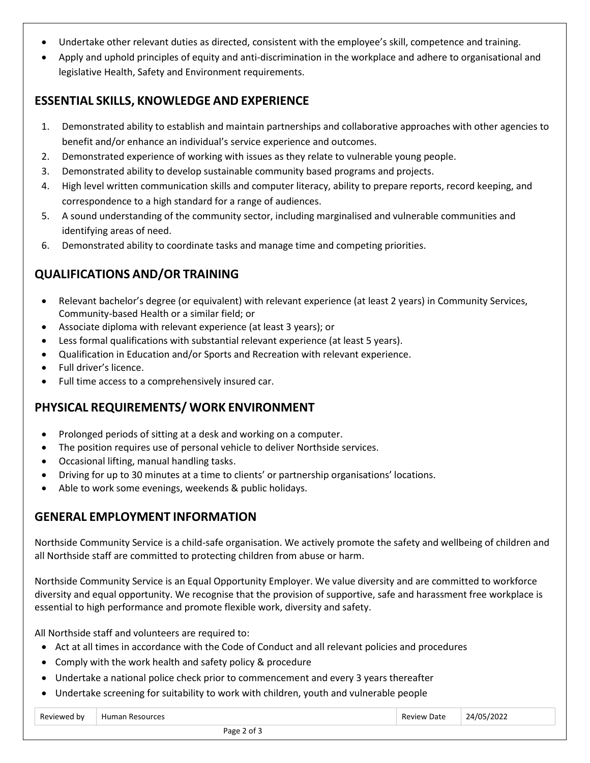- Undertake other relevant duties as directed, consistent with the employee's skill, competence and training.
- Apply and uphold principles of equity and anti-discrimination in the workplace and adhere to organisational and legislative Health, Safety and Environment requirements.

#### **ESSENTIAL SKILLS, KNOWLEDGE AND EXPERIENCE**

- 1. Demonstrated ability to establish and maintain partnerships and collaborative approaches with other agencies to benefit and/or enhance an individual's service experience and outcomes.
- 2. Demonstrated experience of working with issues as they relate to vulnerable young people.
- 3. Demonstrated ability to develop sustainable community based programs and projects.
- 4. High level written communication skills and computer literacy, ability to prepare reports, record keeping, and correspondence to a high standard for a range of audiences.
- 5. A sound understanding of the community sector, including marginalised and vulnerable communities and identifying areas of need.
- 6. Demonstrated ability to coordinate tasks and manage time and competing priorities.

# **QUALIFICATIONS AND/OR TRAINING**

- Relevant bachelor's degree (or equivalent) with relevant experience (at least 2 years) in Community Services, Community-based Health or a similar field; or
- Associate diploma with relevant experience (at least 3 years); or
- Less formal qualifications with substantial relevant experience (at least 5 years).
- Qualification in Education and/or Sports and Recreation with relevant experience.
- Full driver's licence.
- Full time access to a comprehensively insured car.

#### **PHYSICAL REQUIREMENTS/ WORK ENVIRONMENT**

- Prolonged periods of sitting at a desk and working on a computer.
- The position requires use of personal vehicle to deliver Northside services.
- Occasional lifting, manual handling tasks.
- Driving for up to 30 minutes at a time to clients' or partnership organisations' locations.
- Able to work some evenings, weekends & public holidays.

#### **GENERAL EMPLOYMENT INFORMATION**

Northside Community Service is a child-safe organisation. We actively promote the safety and wellbeing of children and all Northside staff are committed to protecting children from abuse or harm.

Northside Community Service is an Equal Opportunity Employer. We value diversity and are committed to workforce diversity and equal opportunity. We recognise that the provision of supportive, safe and harassment free workplace is essential to high performance and promote flexible work, diversity and safety.

All Northside staff and volunteers are required to:

- Act at all times in accordance with the Code of Conduct and all relevant policies and procedures
- Comply with the work health and safety policy & procedure
- Undertake a national police check prior to commencement and every 3 years thereafter
- Undertake screening for suitability to work with children, youth and vulnerable people

| $D_{\alpha\mu}$<br>h١<br>⊣ur<br>$\overline{\phantom{a}}$<br>JА<br>הו<br>. . |  |
|-----------------------------------------------------------------------------|--|
|-----------------------------------------------------------------------------|--|